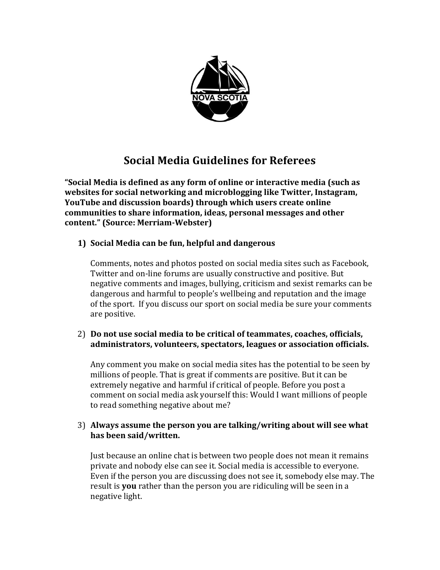

# **Social Media Guidelines for Referees**

**"Social Media is defined as any form of online or interactive media (such as websites for social networking and microblogging like Twitter, Instagram, YouTube and discussion boards) through which users create online communities to share information, ideas, personal messages and other content." (Source: Merriam-Webster)** 

# **1) Social Media can be fun, helpful and dangerous**

Comments, notes and photos posted on social media sites such as Facebook, Twitter and on-line forums are usually constructive and positive. But negative comments and images, bullying, criticism and sexist remarks can be dangerous and harmful to people's wellbeing and reputation and the image of the sport. If you discuss our sport on social media be sure your comments are positive.

## 2) **Do not use social media to be critical of teammates, coaches, officials, administrators, volunteers, spectators, leagues or association officials.**

Any comment you make on social media sites has the potential to be seen by millions of people. That is great if comments are positive. But it can be extremely negative and harmful if critical of people. Before you post a comment on social media ask yourself this: Would I want millions of people to read something negative about me?

## 3) **Always assume the person you are talking/writing about will see what has been said/written.**

Just because an online chat is between two people does not mean it remains private and nobody else can see it. Social media is accessible to everyone. Even if the person you are discussing does not see it, somebody else may. The result is **you** rather than the person you are ridiculing will be seen in a negative light.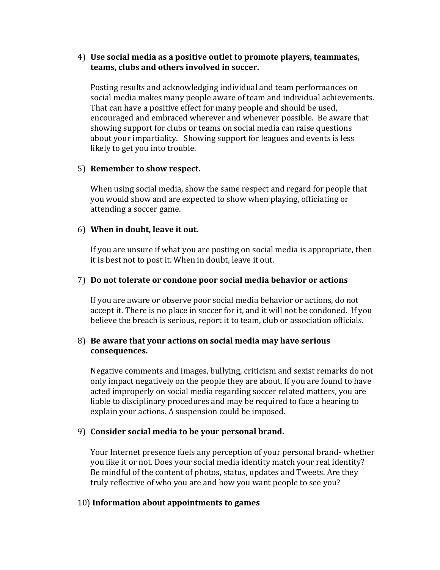#### 4) **Use social media as a positive outlet to promote players, teammates, teams, clubs and others involved in soccer.**

Posting results and acknowledging individual and team performances on social media makes many people aware of team and individual achievements. That can have a positive effect for many people and should be used, encouraged and embraced wherever and whenever possible. Be aware that showing support for clubs or teams on social media can raise questions about your impartiality. Showing support for leagues and events is less likely to get you into trouble.

## 5) **Remember to show respect.**

When using social media, show the same respect and regard for people that you would show and are expected to show when playing, officiating or attending a soccer game.

#### 6) **When in doubt, leave it out.**

If you are unsure if what you are posting on social media is appropriate, then it is best not to post it. When in doubt, leave it out.

#### 7) **Do not tolerate or condone poor social media behavior or actions**

If you are aware or observe poor social media behavior or actions, do not accept it. There is no place in soccer for it, and it will not be condoned. If you believe the breach is serious, report it to team, club or association officials.

#### 8) **Be aware that your actions on social media may have serious consequences.**

Negative comments and images, bullying, criticism and sexist remarks do not only impact negatively on the people they are about. If you are found to have acted improperly on social media regarding soccer related matters, you are liable to disciplinary procedures and may be required to face a hearing to explain your actions. A suspension could be imposed.

#### 9) **Consider social media to be your personal brand.**

Your Internet presence fuels any perception of your personal brand- whether you like it or not. Does your social media identity match your real identity? Be mindful of the content of photos, status, updates and Tweets. Are they truly reflective of who you are and how you want people to see you?

#### 10) **Information about appointments to games**